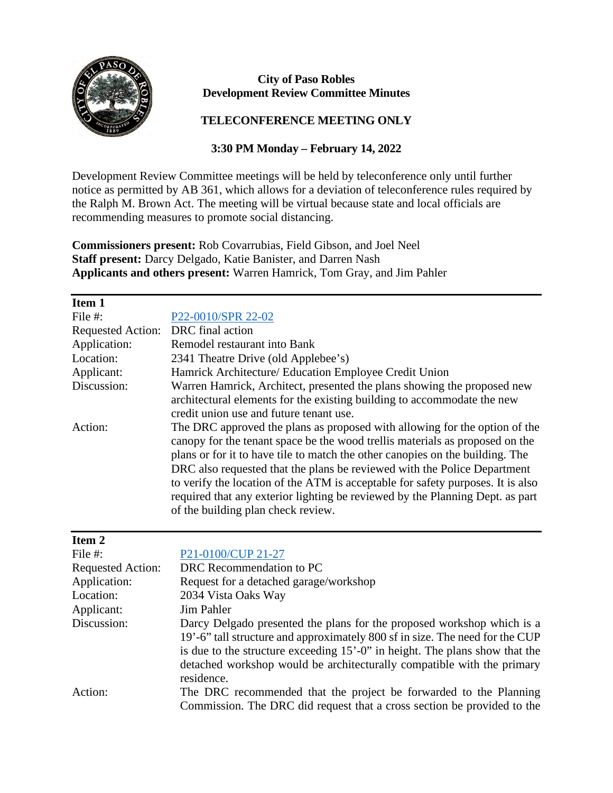

## **City of Paso Robles Development Review Committee Minutes**

## **TELECONFERENCE MEETING ONLY**

## **3:30 PM Monday – February 14, 2022**

Development Review Committee meetings will be held by teleconference only until further notice as permitted by AB 361, which allows for a deviation of teleconference rules required by the Ralph M. Brown Act. The meeting will be virtual because state and local officials are recommending measures to promote social distancing.

**Commissioners present:** Rob Covarrubias, Field Gibson, and Joel Neel **Staff present:** Darcy Delgado, Katie Banister, and Darren Nash **Applicants and others present:** Warren Hamrick, Tom Gray, and Jim Pahler

| Warren Hamrick, Architect, presented the plans showing the proposed new         |
|---------------------------------------------------------------------------------|
|                                                                                 |
|                                                                                 |
| The DRC approved the plans as proposed with allowing for the option of the      |
| can opy for the tenant space be the wood trellis materials as proposed on the   |
| plans or for it to have tile to match the other canopies on the building. The   |
| DRC also requested that the plans be reviewed with the Police Department        |
| to verify the location of the ATM is acceptable for safety purposes. It is also |
| required that any exterior lighting be reviewed by the Planning Dept. as part   |
|                                                                                 |
| architectural elements for the existing building to accommodate the new         |

| rem |  |
|-----|--|
|     |  |

| File $#$ :               | P <sub>21</sub> -0100/CUP <sub>21-27</sub>                                   |
|--------------------------|------------------------------------------------------------------------------|
| <b>Requested Action:</b> | DRC Recommendation to PC                                                     |
| Application:             | Request for a detached garage/workshop                                       |
| Location:                | 2034 Vista Oaks Way                                                          |
| Applicant:               | Jim Pahler                                                                   |
| Discussion:              | Darcy Delgado presented the plans for the proposed workshop which is a       |
|                          | 19'-6" tall structure and approximately 800 sf in size. The need for the CUP |
|                          | is due to the structure exceeding 15'-0" in height. The plans show that the  |
|                          | detached workshop would be architecturally compatible with the primary       |
|                          | residence.                                                                   |
| Action:                  | The DRC recommended that the project be forwarded to the Planning            |
|                          | Commission. The DRC did request that a cross section be provided to the      |